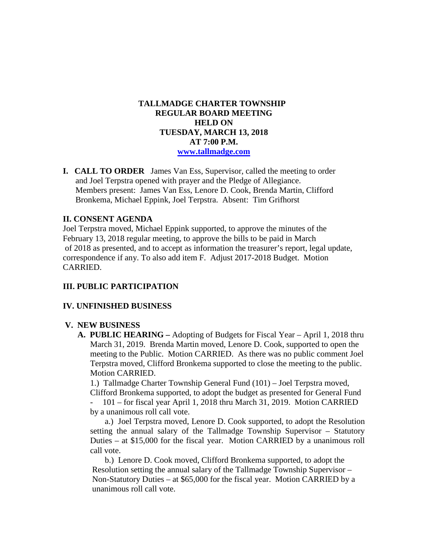## **TALLMADGE CHARTER TOWNSHIP REGULAR BOARD MEETING HELD ON TUESDAY, MARCH 13, 2018 AT 7:00 P.M. [www.tallmadge.com](http://www.tallmadge.com/)**

**I. CALL TO ORDER** James Van Ess, Supervisor, called the meeting to order and Joel Terpstra opened with prayer and the Pledge of Allegiance. Members present: James Van Ess, Lenore D. Cook, Brenda Martin, Clifford Bronkema, Michael Eppink, Joel Terpstra. Absent: Tim Grifhorst

# **II. CONSENT AGENDA**

Joel Terpstra moved, Michael Eppink supported, to approve the minutes of the February 13, 2018 regular meeting, to approve the bills to be paid in March of 2018 as presented, and to accept as information the treasurer's report, legal update, correspondence if any. To also add item F. Adjust 2017-2018 Budget. Motion CARRIED.

# **III. PUBLIC PARTICIPATION**

### **IV. UNFINISHED BUSINESS**

### **V. NEW BUSINESS**

 **A. PUBLIC HEARING –** Adopting of Budgets for Fiscal Year – April 1, 2018 thru March 31, 2019. Brenda Martin moved, Lenore D. Cook, supported to open the meeting to the Public. Motion CARRIED. As there was no public comment Joel Terpstra moved, Clifford Bronkema supported to close the meeting to the public. Motion CARRIED.

 1.) Tallmadge Charter Township General Fund (101) – Joel Terpstra moved, Clifford Bronkema supported, to adopt the budget as presented for General Fund

- 101 – for fiscal year April 1, 2018 thru March 31, 2019. Motion CARRIED by a unanimous roll call vote.

 a.) Joel Terpstra moved, Lenore D. Cook supported, to adopt the Resolution setting the annual salary of the Tallmadge Township Supervisor – Statutory Duties – at \$15,000 for the fiscal year. Motion CARRIED by a unanimous roll call vote.

 b.) Lenore D. Cook moved, Clifford Bronkema supported, to adopt the Resolution setting the annual salary of the Tallmadge Township Supervisor – Non-Statutory Duties – at \$65,000 for the fiscal year. Motion CARRIED by a unanimous roll call vote.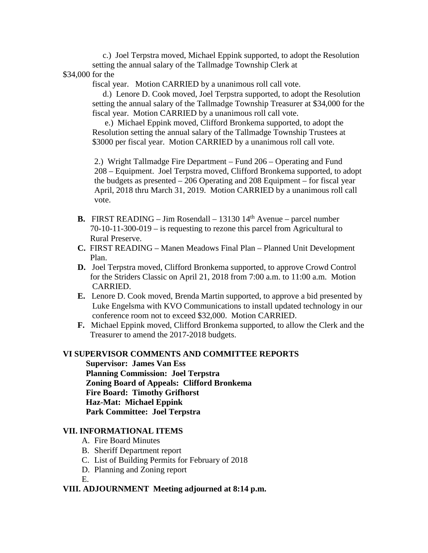c.) Joel Terpstra moved, Michael Eppink supported, to adopt the Resolution setting the annual salary of the Tallmadge Township Clerk at

\$34,000 for the

fiscal year. Motion CARRIED by a unanimous roll call vote.

 d.) Lenore D. Cook moved, Joel Terpstra supported, to adopt the Resolution setting the annual salary of the Tallmadge Township Treasurer at \$34,000 for the fiscal year. Motion CARRIED by a unanimous roll call vote.

 e.) Michael Eppink moved, Clifford Bronkema supported, to adopt the Resolution setting the annual salary of the Tallmadge Township Trustees at \$3000 per fiscal year. Motion CARRIED by a unanimous roll call vote.

 2.) Wright Tallmadge Fire Department – Fund 206 – Operating and Fund 208 – Equipment. Joel Terpstra moved, Clifford Bronkema supported, to adopt the budgets as presented – 206 Operating and 208 Equipment – for fiscal year April, 2018 thru March 31, 2019. Motion CARRIED by a unanimous roll call vote.

- **B.** FIRST READING Jim Rosendall 13130  $14<sup>th</sup>$  Avenue parcel number 70-10-11-300-019 – is requesting to rezone this parcel from Agricultural to Rural Preserve.
- **C.** FIRST READING Manen Meadows Final Plan Planned Unit Development Plan.
- **D.** Joel Terpstra moved, Clifford Bronkema supported, to approve Crowd Control for the Striders Classic on April 21, 2018 from 7:00 a.m. to 11:00 a.m. Motion CARRIED.
- **E.** Lenore D. Cook moved, Brenda Martin supported, to approve a bid presented by Luke Engelsma with KVO Communications to install updated technology in our conference room not to exceed \$32,000. Motion CARRIED.
- **F.** Michael Eppink moved, Clifford Bronkema supported, to allow the Clerk and the Treasurer to amend the 2017-2018 budgets.

#### **VI SUPERVISOR COMMENTS AND COMMITTEE REPORTS**

 **Supervisor: James Van Ess Planning Commission: Joel Terpstra Zoning Board of Appeals: Clifford Bronkema Fire Board: Timothy Grifhorst Haz-Mat: Michael Eppink Park Committee: Joel Terpstra**

#### **VII. INFORMATIONAL ITEMS**

- A. Fire Board Minutes
- B. Sheriff Department report
- C. List of Building Permits for February of 2018
- D. Planning and Zoning report

E.

### **VIII. ADJOURNMENT Meeting adjourned at 8:14 p.m.**